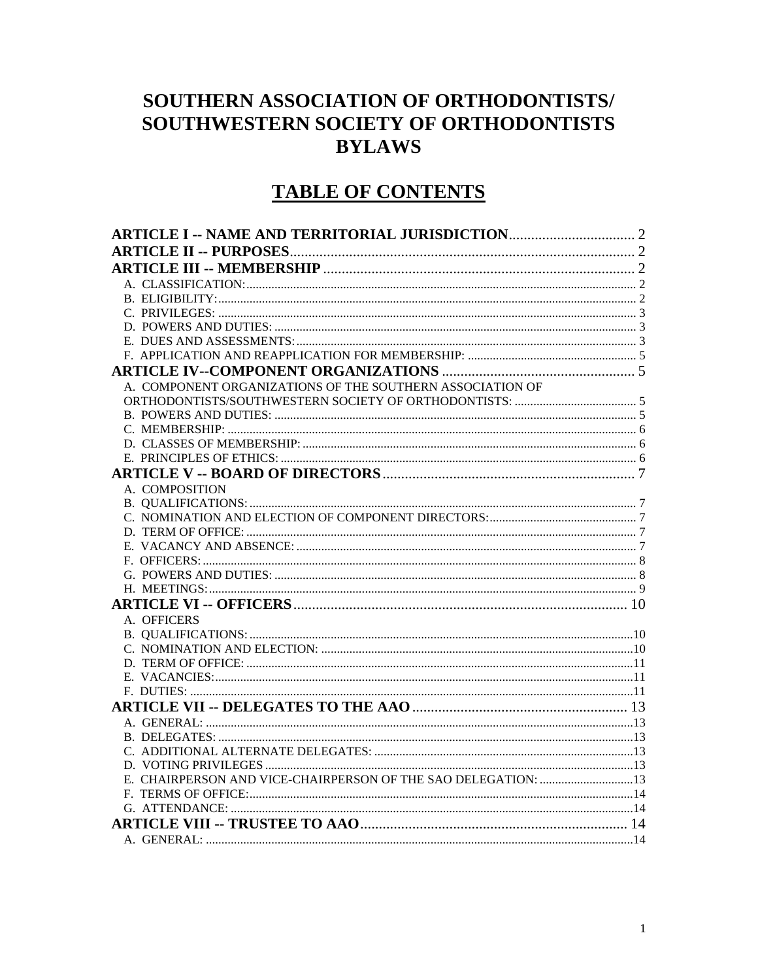# SOUTHERN ASSOCIATION OF ORTHODONTISTS/ SOUTHWESTERN SOCIETY OF ORTHODONTISTS **BYLAWS**

# **TABLE OF CONTENTS**

| A. COMPONENT ORGANIZATIONS OF THE SOUTHERN ASSOCIATION OF |  |
|-----------------------------------------------------------|--|
|                                                           |  |
|                                                           |  |
|                                                           |  |
|                                                           |  |
|                                                           |  |
|                                                           |  |
| A. COMPOSITION                                            |  |
|                                                           |  |
|                                                           |  |
|                                                           |  |
|                                                           |  |
|                                                           |  |
|                                                           |  |
|                                                           |  |
|                                                           |  |
| A. OFFICERS                                               |  |
|                                                           |  |
|                                                           |  |
|                                                           |  |
|                                                           |  |
|                                                           |  |
|                                                           |  |
|                                                           |  |
|                                                           |  |
|                                                           |  |
|                                                           |  |
|                                                           |  |
|                                                           |  |
|                                                           |  |
|                                                           |  |
|                                                           |  |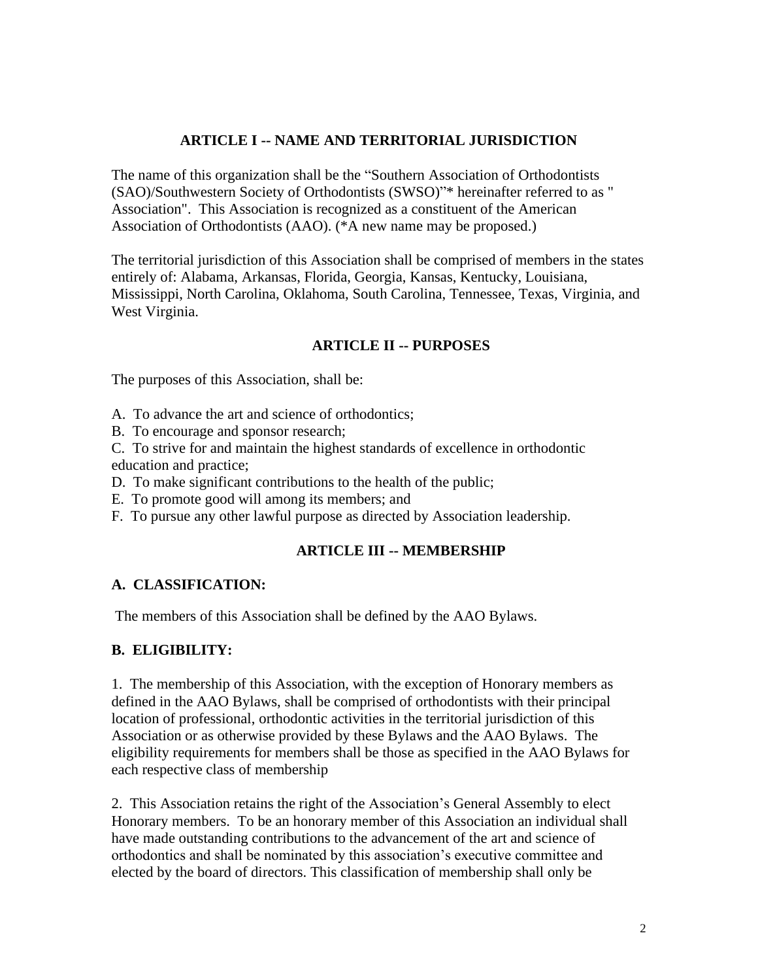### **ARTICLE I -- NAME AND TERRITORIAL JURISDICTION**

The name of this organization shall be the "Southern Association of Orthodontists (SAO)/Southwestern Society of Orthodontists (SWSO)"\* hereinafter referred to as " Association". This Association is recognized as a constituent of the American Association of Orthodontists (AAO). (\*A new name may be proposed.)

The territorial jurisdiction of this Association shall be comprised of members in the states entirely of: Alabama, Arkansas, Florida, Georgia, Kansas, Kentucky, Louisiana, Mississippi, North Carolina, Oklahoma, South Carolina, Tennessee, Texas, Virginia, and West Virginia.

### **ARTICLE II -- PURPOSES**

The purposes of this Association, shall be:

- A. To advance the art and science of orthodontics;
- B. To encourage and sponsor research;
- C. To strive for and maintain the highest standards of excellence in orthodontic education and practice;
- D. To make significant contributions to the health of the public;
- E. To promote good will among its members; and
- F. To pursue any other lawful purpose as directed by Association leadership.

### **ARTICLE III -- MEMBERSHIP**

### **A. CLASSIFICATION:**

The members of this Association shall be defined by the AAO Bylaws.

# **B. ELIGIBILITY:**

1. The membership of this Association, with the exception of Honorary members as defined in the AAO Bylaws, shall be comprised of orthodontists with their principal location of professional, orthodontic activities in the territorial jurisdiction of this Association or as otherwise provided by these Bylaws and the AAO Bylaws. The eligibility requirements for members shall be those as specified in the AAO Bylaws for each respective class of membership

2. This Association retains the right of the Association's General Assembly to elect Honorary members. To be an honorary member of this Association an individual shall have made outstanding contributions to the advancement of the art and science of orthodontics and shall be nominated by this association's executive committee and elected by the board of directors. This classification of membership shall only be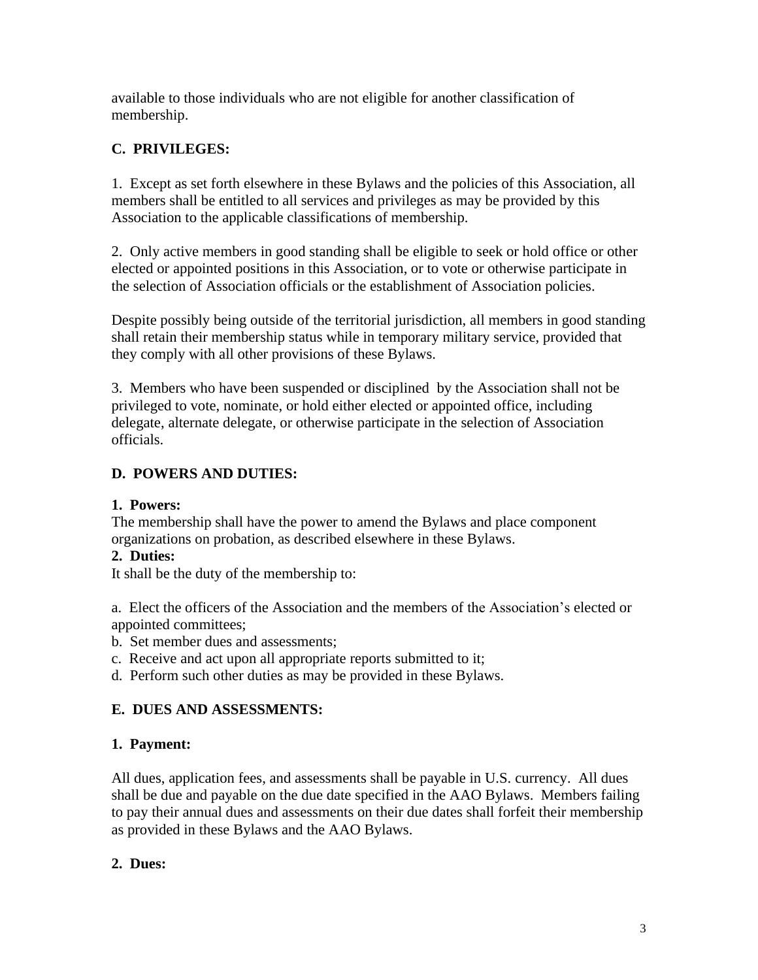available to those individuals who are not eligible for another classification of membership.

# **C. PRIVILEGES:**

1. Except as set forth elsewhere in these Bylaws and the policies of this Association, all members shall be entitled to all services and privileges as may be provided by this Association to the applicable classifications of membership.

2. Only active members in good standing shall be eligible to seek or hold office or other elected or appointed positions in this Association, or to vote or otherwise participate in the selection of Association officials or the establishment of Association policies.

Despite possibly being outside of the territorial jurisdiction, all members in good standing shall retain their membership status while in temporary military service, provided that they comply with all other provisions of these Bylaws.

3. Members who have been suspended or disciplined by the Association shall not be privileged to vote, nominate, or hold either elected or appointed office, including delegate, alternate delegate, or otherwise participate in the selection of Association officials.

# **D. POWERS AND DUTIES:**

### **1. Powers:**

The membership shall have the power to amend the Bylaws and place component organizations on probation, as described elsewhere in these Bylaws.

### **2. Duties:**

It shall be the duty of the membership to:

a. Elect the officers of the Association and the members of the Association's elected or appointed committees;

- b. Set member dues and assessments;
- c. Receive and act upon all appropriate reports submitted to it;
- d. Perform such other duties as may be provided in these Bylaws.

# **E. DUES AND ASSESSMENTS:**

### **1. Payment:**

All dues, application fees, and assessments shall be payable in U.S. currency. All dues shall be due and payable on the due date specified in the AAO Bylaws. Members failing to pay their annual dues and assessments on their due dates shall forfeit their membership as provided in these Bylaws and the AAO Bylaws.

# **2. Dues:**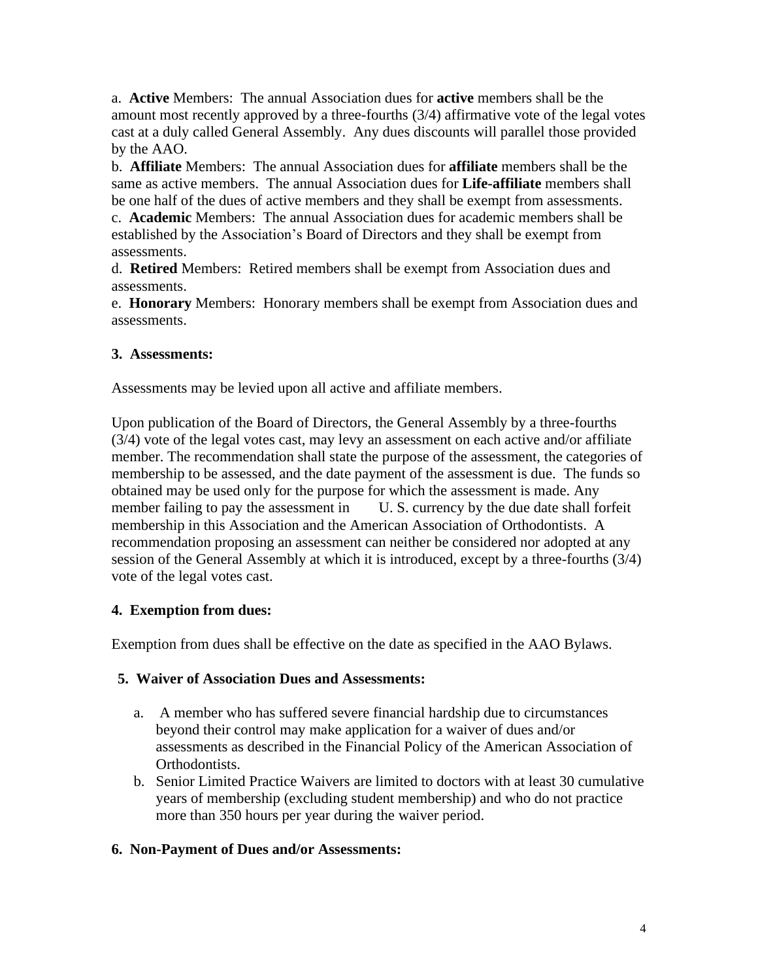a. **Active** Members: The annual Association dues for **active** members shall be the amount most recently approved by a three-fourths (3/4) affirmative vote of the legal votes cast at a duly called General Assembly. Any dues discounts will parallel those provided by the AAO.

b. **Affiliate** Members: The annual Association dues for **affiliate** members shall be the same as active members. The annual Association dues for **Life-affiliate** members shall be one half of the dues of active members and they shall be exempt from assessments.

c. **Academic** Members: The annual Association dues for academic members shall be established by the Association's Board of Directors and they shall be exempt from assessments.

d. **Retired** Members: Retired members shall be exempt from Association dues and assessments.

e. **Honorary** Members: Honorary members shall be exempt from Association dues and assessments.

### **3. Assessments:**

Assessments may be levied upon all active and affiliate members.

Upon publication of the Board of Directors, the General Assembly by a three-fourths (3/4) vote of the legal votes cast, may levy an assessment on each active and/or affiliate member. The recommendation shall state the purpose of the assessment, the categories of membership to be assessed, and the date payment of the assessment is due. The funds so obtained may be used only for the purpose for which the assessment is made. Any member failing to pay the assessment in U.S. currency by the due date shall forfeit membership in this Association and the American Association of Orthodontists. A recommendation proposing an assessment can neither be considered nor adopted at any session of the General Assembly at which it is introduced, except by a three-fourths (3/4) vote of the legal votes cast.

### **4. Exemption from dues:**

Exemption from dues shall be effective on the date as specified in the AAO Bylaws.

### **5. Waiver of Association Dues and Assessments:**

- a. A member who has suffered severe financial hardship due to circumstances beyond their control may make application for a waiver of dues and/or assessments as described in the Financial Policy of the American Association of Orthodontists.
- b. Senior Limited Practice Waivers are limited to doctors with at least 30 cumulative years of membership (excluding student membership) and who do not practice more than 350 hours per year during the waiver period.

### **6. Non-Payment of Dues and/or Assessments:**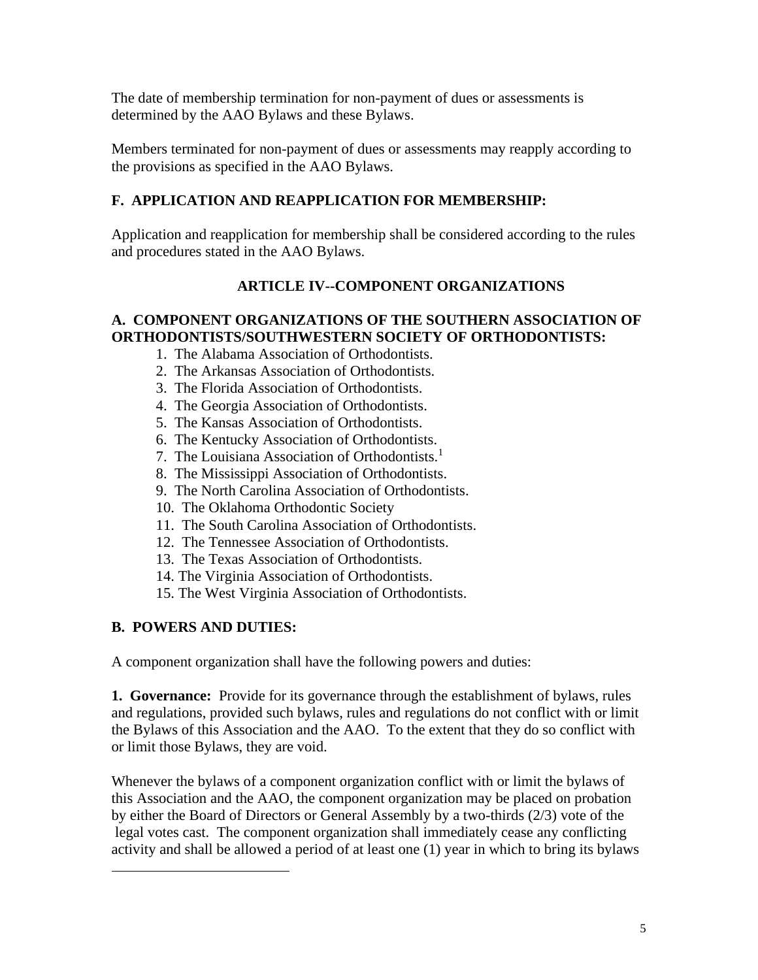The date of membership termination for non-payment of dues or assessments is determined by the AAO Bylaws and these Bylaws.

Members terminated for non-payment of dues or assessments may reapply according to the provisions as specified in the AAO Bylaws.

# **F. APPLICATION AND REAPPLICATION FOR MEMBERSHIP:**

Application and reapplication for membership shall be considered according to the rules and procedures stated in the AAO Bylaws.

# **ARTICLE IV--COMPONENT ORGANIZATIONS**

### **A. COMPONENT ORGANIZATIONS OF THE SOUTHERN ASSOCIATION OF ORTHODONTISTS/SOUTHWESTERN SOCIETY OF ORTHODONTISTS:**

- 1. The Alabama Association of Orthodontists.
- 2. The Arkansas Association of Orthodontists.
- 3. The Florida Association of Orthodontists.
- 4. The Georgia Association of Orthodontists.
- 5. The Kansas Association of Orthodontists.
- 6. The Kentucky Association of Orthodontists.
- 7. The Louisiana Association of Orthodontists.<sup>1</sup>
- 8. The Mississippi Association of Orthodontists.
- 9. The North Carolina Association of Orthodontists.
- 10. The Oklahoma Orthodontic Society
- 11. The South Carolina Association of Orthodontists.
- 12. The Tennessee Association of Orthodontists.
- 13. The Texas Association of Orthodontists.
- 14. The Virginia Association of Orthodontists.
- 15. The West Virginia Association of Orthodontists.

# **B. POWERS AND DUTIES:**

A component organization shall have the following powers and duties:

**1. Governance:** Provide for its governance through the establishment of bylaws, rules and regulations, provided such bylaws, rules and regulations do not conflict with or limit the Bylaws of this Association and the AAO. To the extent that they do so conflict with or limit those Bylaws, they are void.

Whenever the bylaws of a component organization conflict with or limit the bylaws of this Association and the AAO, the component organization may be placed on probation by either the Board of Directors or General Assembly by a two-thirds (2/3) vote of the legal votes cast. The component organization shall immediately cease any conflicting activity and shall be allowed a period of at least one (1) year in which to bring its bylaws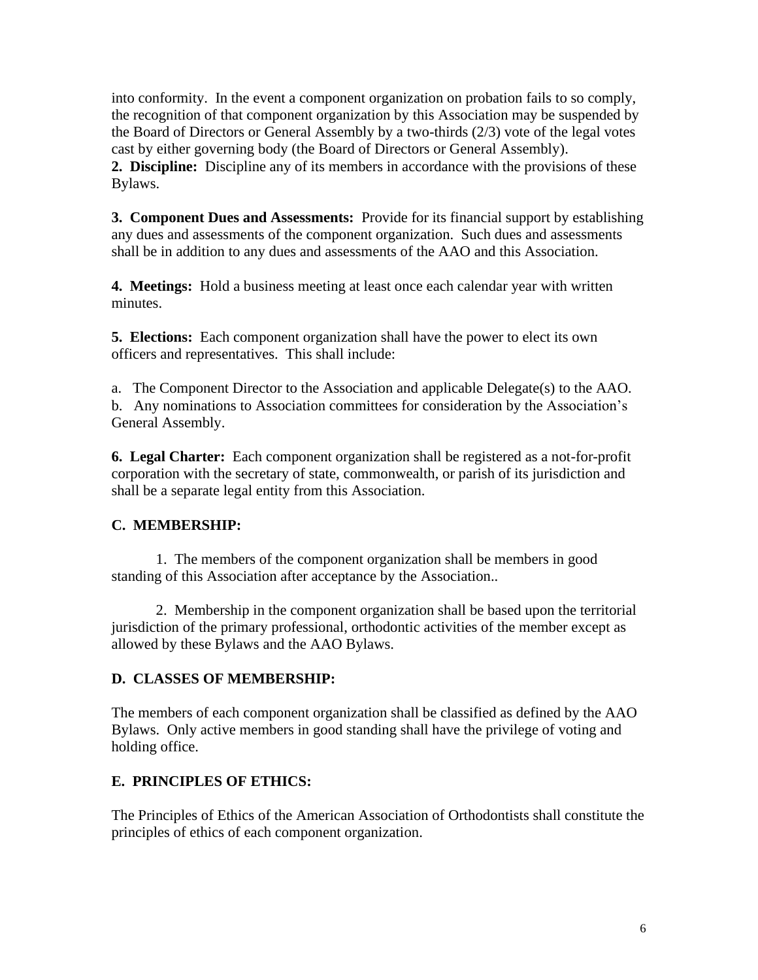into conformity. In the event a component organization on probation fails to so comply, the recognition of that component organization by this Association may be suspended by the Board of Directors or General Assembly by a two-thirds (2/3) vote of the legal votes cast by either governing body (the Board of Directors or General Assembly). **2. Discipline:** Discipline any of its members in accordance with the provisions of these Bylaws.

**3. Component Dues and Assessments:** Provide for its financial support by establishing any dues and assessments of the component organization. Such dues and assessments shall be in addition to any dues and assessments of the AAO and this Association.

**4. Meetings:** Hold a business meeting at least once each calendar year with written minutes.

**5. Elections:** Each component organization shall have the power to elect its own officers and representatives. This shall include:

a. The Component Director to the Association and applicable Delegate(s) to the AAO. b. Any nominations to Association committees for consideration by the Association's General Assembly.

**6. Legal Charter:** Each component organization shall be registered as a not-for-profit corporation with the secretary of state, commonwealth, or parish of its jurisdiction and shall be a separate legal entity from this Association.

### **C. MEMBERSHIP:**

1. The members of the component organization shall be members in good standing of this Association after acceptance by the Association..

2. Membership in the component organization shall be based upon the territorial jurisdiction of the primary professional, orthodontic activities of the member except as allowed by these Bylaws and the AAO Bylaws.

#### **D. CLASSES OF MEMBERSHIP:**

The members of each component organization shall be classified as defined by the AAO Bylaws. Only active members in good standing shall have the privilege of voting and holding office.

### **E. PRINCIPLES OF ETHICS:**

The Principles of Ethics of the American Association of Orthodontists shall constitute the principles of ethics of each component organization.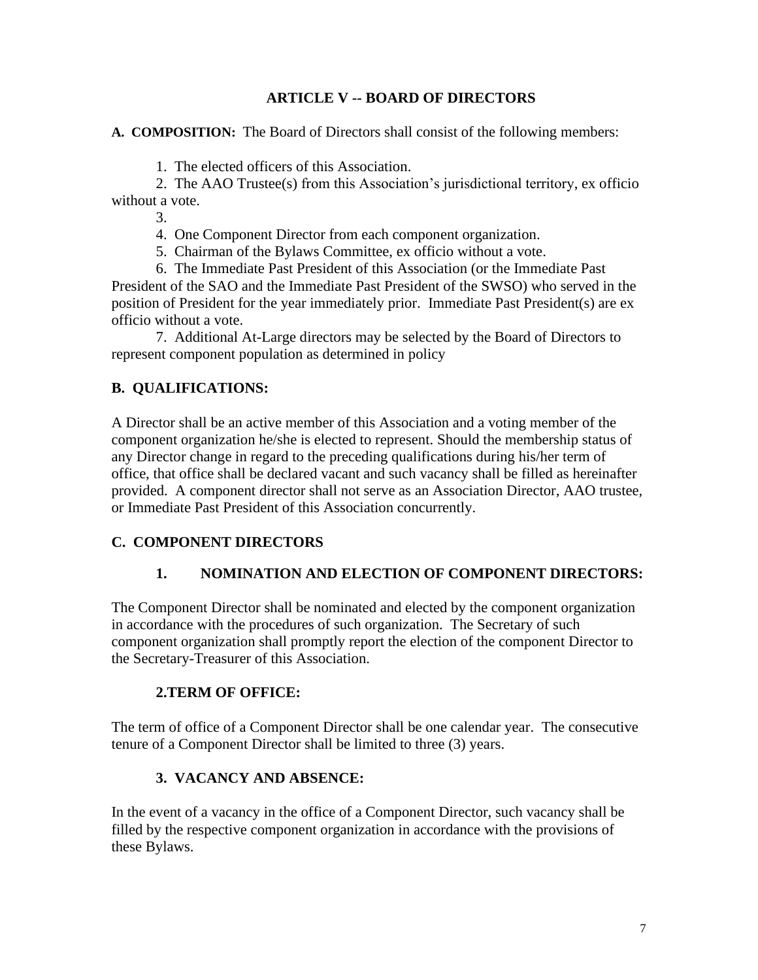### **ARTICLE V -- BOARD OF DIRECTORS**

**A. COMPOSITION:** The Board of Directors shall consist of the following members:

1. The elected officers of this Association.

2. The AAO Trustee(s) from this Association's jurisdictional territory, ex officio without a vote.

3.

4. One Component Director from each component organization.

5. Chairman of the Bylaws Committee, ex officio without a vote.

6. The Immediate Past President of this Association (or the Immediate Past President of the SAO and the Immediate Past President of the SWSO) who served in the position of President for the year immediately prior. Immediate Past President(s) are ex officio without a vote.

7. Additional At-Large directors may be selected by the Board of Directors to represent component population as determined in policy

# **B. QUALIFICATIONS:**

A Director shall be an active member of this Association and a voting member of the component organization he/she is elected to represent. Should the membership status of any Director change in regard to the preceding qualifications during his/her term of office, that office shall be declared vacant and such vacancy shall be filled as hereinafter provided. A component director shall not serve as an Association Director, AAO trustee, or Immediate Past President of this Association concurrently.

### **C. COMPONENT DIRECTORS**

### **1. NOMINATION AND ELECTION OF COMPONENT DIRECTORS:**

The Component Director shall be nominated and elected by the component organization in accordance with the procedures of such organization. The Secretary of such component organization shall promptly report the election of the component Director to the Secretary-Treasurer of this Association.

### **2.TERM OF OFFICE:**

The term of office of a Component Director shall be one calendar year. The consecutive tenure of a Component Director shall be limited to three (3) years.

### **3. VACANCY AND ABSENCE:**

In the event of a vacancy in the office of a Component Director, such vacancy shall be filled by the respective component organization in accordance with the provisions of these Bylaws.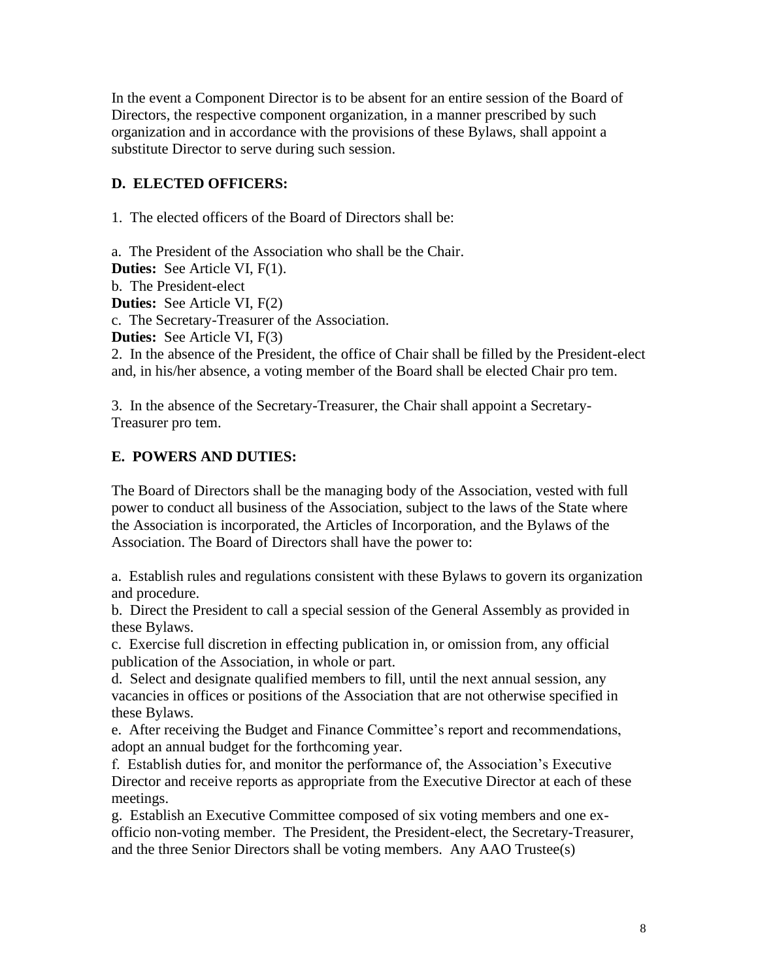In the event a Component Director is to be absent for an entire session of the Board of Directors, the respective component organization, in a manner prescribed by such organization and in accordance with the provisions of these Bylaws, shall appoint a substitute Director to serve during such session.

### **D. ELECTED OFFICERS:**

1. The elected officers of the Board of Directors shall be:

a. The President of the Association who shall be the Chair. **Duties:** See Article VI, F(1). b. The President-elect **Duties:** See Article VI, F(2) c. The Secretary-Treasurer of the Association. **Duties:** See Article VI, F(3) 2. In the absence of the President, the office of Chair shall be filled by the President-elect and, in his/her absence, a voting member of the Board shall be elected Chair pro tem.

3. In the absence of the Secretary-Treasurer, the Chair shall appoint a Secretary-Treasurer pro tem.

### **E. POWERS AND DUTIES:**

The Board of Directors shall be the managing body of the Association, vested with full power to conduct all business of the Association, subject to the laws of the State where the Association is incorporated, the Articles of Incorporation, and the Bylaws of the Association. The Board of Directors shall have the power to:

a. Establish rules and regulations consistent with these Bylaws to govern its organization and procedure.

b. Direct the President to call a special session of the General Assembly as provided in these Bylaws.

c. Exercise full discretion in effecting publication in, or omission from, any official publication of the Association, in whole or part.

d. Select and designate qualified members to fill, until the next annual session, any vacancies in offices or positions of the Association that are not otherwise specified in these Bylaws.

e. After receiving the Budget and Finance Committee's report and recommendations, adopt an annual budget for the forthcoming year.

f. Establish duties for, and monitor the performance of, the Association's Executive Director and receive reports as appropriate from the Executive Director at each of these meetings.

g. Establish an Executive Committee composed of six voting members and one exofficio non-voting member. The President, the President-elect, the Secretary-Treasurer, and the three Senior Directors shall be voting members. Any AAO Trustee(s)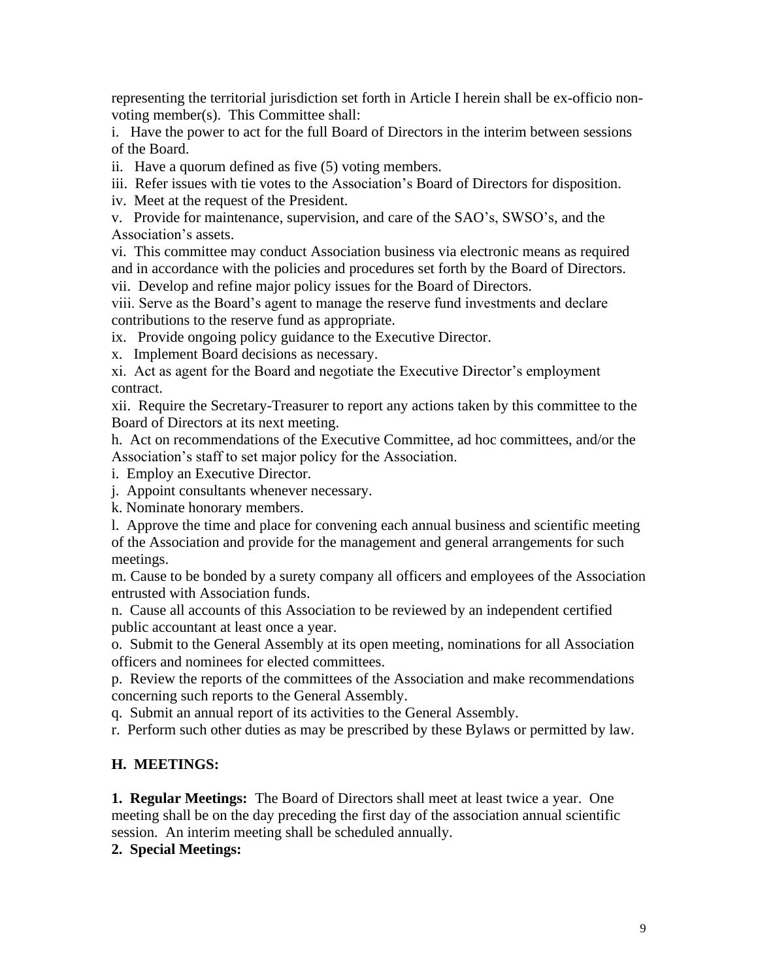representing the territorial jurisdiction set forth in Article I herein shall be ex-officio nonvoting member(s). This Committee shall:

i. Have the power to act for the full Board of Directors in the interim between sessions of the Board.

ii. Have a quorum defined as five (5) voting members.

iii. Refer issues with tie votes to the Association's Board of Directors for disposition.

iv. Meet at the request of the President.

v. Provide for maintenance, supervision, and care of the SAO's, SWSO's, and the Association's assets.

vi. This committee may conduct Association business via electronic means as required and in accordance with the policies and procedures set forth by the Board of Directors.

vii. Develop and refine major policy issues for the Board of Directors.

viii. Serve as the Board's agent to manage the reserve fund investments and declare contributions to the reserve fund as appropriate.

ix. Provide ongoing policy guidance to the Executive Director.

x. Implement Board decisions as necessary.

xi. Act as agent for the Board and negotiate the Executive Director's employment contract.

xii. Require the Secretary-Treasurer to report any actions taken by this committee to the Board of Directors at its next meeting.

h. Act on recommendations of the Executive Committee, ad hoc committees, and/or the Association's staff to set major policy for the Association.

i. Employ an Executive Director.

j. Appoint consultants whenever necessary.

k. Nominate honorary members.

l. Approve the time and place for convening each annual business and scientific meeting of the Association and provide for the management and general arrangements for such meetings.

m. Cause to be bonded by a surety company all officers and employees of the Association entrusted with Association funds.

n. Cause all accounts of this Association to be reviewed by an independent certified public accountant at least once a year.

o. Submit to the General Assembly at its open meeting, nominations for all Association officers and nominees for elected committees.

p. Review the reports of the committees of the Association and make recommendations concerning such reports to the General Assembly.

q. Submit an annual report of its activities to the General Assembly.

r. Perform such other duties as may be prescribed by these Bylaws or permitted by law.

#### **H. MEETINGS:**

**1. Regular Meetings:** The Board of Directors shall meet at least twice a year. One meeting shall be on the day preceding the first day of the association annual scientific session. An interim meeting shall be scheduled annually.

#### **2. Special Meetings:**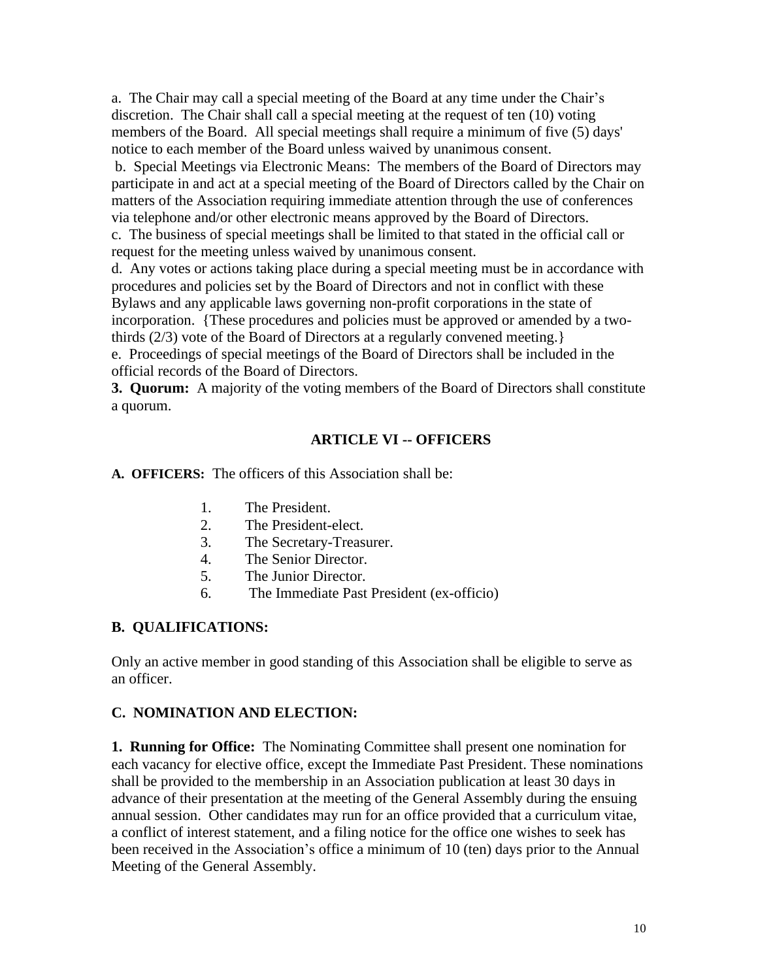a. The Chair may call a special meeting of the Board at any time under the Chair's discretion. The Chair shall call a special meeting at the request of ten (10) voting members of the Board. All special meetings shall require a minimum of five (5) days' notice to each member of the Board unless waived by unanimous consent.

b. Special Meetings via Electronic Means: The members of the Board of Directors may participate in and act at a special meeting of the Board of Directors called by the Chair on matters of the Association requiring immediate attention through the use of conferences via telephone and/or other electronic means approved by the Board of Directors.

c. The business of special meetings shall be limited to that stated in the official call or request for the meeting unless waived by unanimous consent.

d. Any votes or actions taking place during a special meeting must be in accordance with procedures and policies set by the Board of Directors and not in conflict with these Bylaws and any applicable laws governing non-profit corporations in the state of incorporation. {These procedures and policies must be approved or amended by a twothirds (2/3) vote of the Board of Directors at a regularly convened meeting.}

e. Proceedings of special meetings of the Board of Directors shall be included in the official records of the Board of Directors.

**3. Quorum:** A majority of the voting members of the Board of Directors shall constitute a quorum.

# **ARTICLE VI -- OFFICERS**

**A. OFFICERS:** The officers of this Association shall be:

- 1. The President.
- 2. The President-elect.
- 3. The Secretary-Treasurer.
- 4. The Senior Director.
- 5. The Junior Director.
- 6. The Immediate Past President (ex-officio)

### **B. QUALIFICATIONS:**

Only an active member in good standing of this Association shall be eligible to serve as an officer.

### **C. NOMINATION AND ELECTION:**

**1. Running for Office:** The Nominating Committee shall present one nomination for each vacancy for elective office, except the Immediate Past President. These nominations shall be provided to the membership in an Association publication at least 30 days in advance of their presentation at the meeting of the General Assembly during the ensuing annual session. Other candidates may run for an office provided that a curriculum vitae, a conflict of interest statement, and a filing notice for the office one wishes to seek has been received in the Association's office a minimum of 10 (ten) days prior to the Annual Meeting of the General Assembly.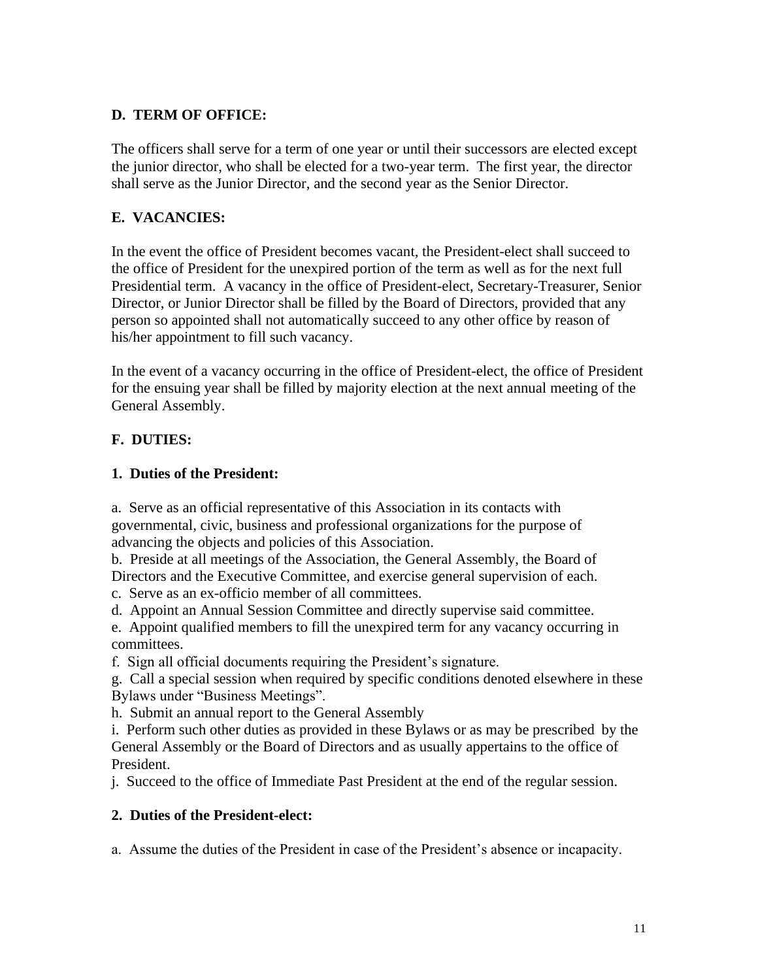### **D. TERM OF OFFICE:**

The officers shall serve for a term of one year or until their successors are elected except the junior director, who shall be elected for a two-year term. The first year, the director shall serve as the Junior Director, and the second year as the Senior Director.

### **E. VACANCIES:**

In the event the office of President becomes vacant, the President-elect shall succeed to the office of President for the unexpired portion of the term as well as for the next full Presidential term. A vacancy in the office of President-elect, Secretary-Treasurer, Senior Director, or Junior Director shall be filled by the Board of Directors, provided that any person so appointed shall not automatically succeed to any other office by reason of his/her appointment to fill such vacancy.

In the event of a vacancy occurring in the office of President-elect, the office of President for the ensuing year shall be filled by majority election at the next annual meeting of the General Assembly.

### **F. DUTIES:**

### **1. Duties of the President:**

a. Serve as an official representative of this Association in its contacts with governmental, civic, business and professional organizations for the purpose of advancing the objects and policies of this Association.

b. Preside at all meetings of the Association, the General Assembly, the Board of Directors and the Executive Committee, and exercise general supervision of each.

c. Serve as an ex-officio member of all committees.

d. Appoint an Annual Session Committee and directly supervise said committee.

e. Appoint qualified members to fill the unexpired term for any vacancy occurring in committees.

f. Sign all official documents requiring the President's signature.

g. Call a special session when required by specific conditions denoted elsewhere in these Bylaws under "Business Meetings".

h. Submit an annual report to the General Assembly

i. Perform such other duties as provided in these Bylaws or as may be prescribed by the General Assembly or the Board of Directors and as usually appertains to the office of President.

j. Succeed to the office of Immediate Past President at the end of the regular session.

### **2. Duties of the President-elect:**

a. Assume the duties of the President in case of the President's absence or incapacity.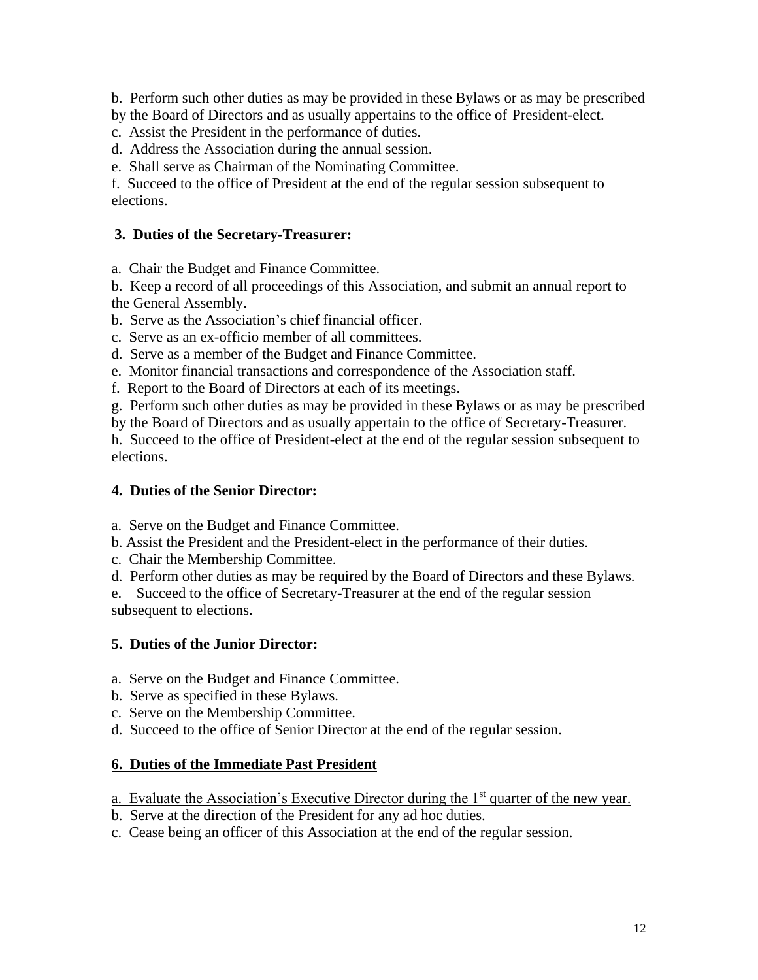b. Perform such other duties as may be provided in these Bylaws or as may be prescribed by the Board of Directors and as usually appertains to the office of President-elect.

c. Assist the President in the performance of duties.

d. Address the Association during the annual session.

e. Shall serve as Chairman of the Nominating Committee.

f. Succeed to the office of President at the end of the regular session subsequent to elections.

#### **3. Duties of the Secretary-Treasurer:**

a. Chair the Budget and Finance Committee.

b. Keep a record of all proceedings of this Association, and submit an annual report to the General Assembly.

b. Serve as the Association's chief financial officer.

c. Serve as an ex-officio member of all committees.

d. Serve as a member of the Budget and Finance Committee.

e. Monitor financial transactions and correspondence of the Association staff.

f. Report to the Board of Directors at each of its meetings.

g. Perform such other duties as may be provided in these Bylaws or as may be prescribed

by the Board of Directors and as usually appertain to the office of Secretary-Treasurer.

h. Succeed to the office of President-elect at the end of the regular session subsequent to elections.

#### **4. Duties of the Senior Director:**

a. Serve on the Budget and Finance Committee.

b. Assist the President and the President-elect in the performance of their duties.

c. Chair the Membership Committee.

d. Perform other duties as may be required by the Board of Directors and these Bylaws.

e. Succeed to the office of Secretary-Treasurer at the end of the regular session subsequent to elections.

#### **5. Duties of the Junior Director:**

- a. Serve on the Budget and Finance Committee.
- b. Serve as specified in these Bylaws.
- c. Serve on the Membership Committee.

d. Succeed to the office of Senior Director at the end of the regular session.

#### **6. Duties of the Immediate Past President**

a. Evaluate the Association's Executive Director during the  $1<sup>st</sup>$  quarter of the new year.

b. Serve at the direction of the President for any ad hoc duties.

c. Cease being an officer of this Association at the end of the regular session.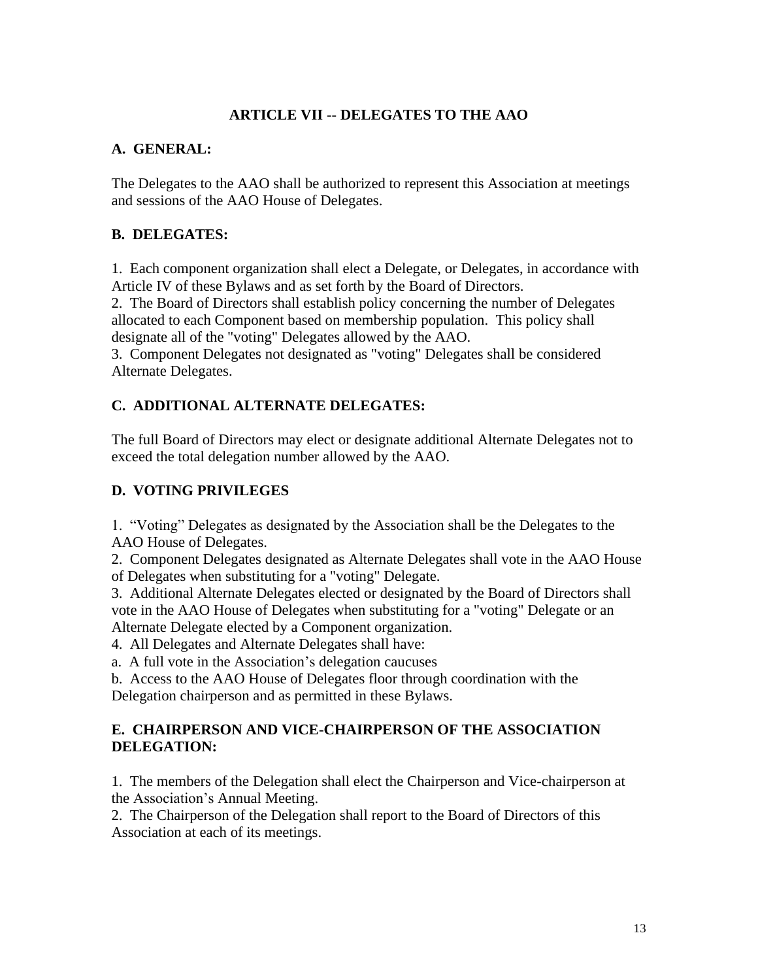### **ARTICLE VII -- DELEGATES TO THE AAO**

#### **A. GENERAL:**

The Delegates to the AAO shall be authorized to represent this Association at meetings and sessions of the AAO House of Delegates.

#### **B. DELEGATES:**

1. Each component organization shall elect a Delegate, or Delegates, in accordance with Article IV of these Bylaws and as set forth by the Board of Directors.

2. The Board of Directors shall establish policy concerning the number of Delegates allocated to each Component based on membership population. This policy shall designate all of the "voting" Delegates allowed by the AAO.

3. Component Delegates not designated as "voting" Delegates shall be considered Alternate Delegates.

### **C. ADDITIONAL ALTERNATE DELEGATES:**

The full Board of Directors may elect or designate additional Alternate Delegates not to exceed the total delegation number allowed by the AAO.

#### **D. VOTING PRIVILEGES**

1. "Voting" Delegates as designated by the Association shall be the Delegates to the AAO House of Delegates.

2. Component Delegates designated as Alternate Delegates shall vote in the AAO House of Delegates when substituting for a "voting" Delegate.

3. Additional Alternate Delegates elected or designated by the Board of Directors shall vote in the AAO House of Delegates when substituting for a "voting" Delegate or an Alternate Delegate elected by a Component organization.

4. All Delegates and Alternate Delegates shall have:

a. A full vote in the Association's delegation caucuses

b. Access to the AAO House of Delegates floor through coordination with the Delegation chairperson and as permitted in these Bylaws.

#### **E. CHAIRPERSON AND VICE-CHAIRPERSON OF THE ASSOCIATION DELEGATION:**

1. The members of the Delegation shall elect the Chairperson and Vice-chairperson at the Association's Annual Meeting.

2. The Chairperson of the Delegation shall report to the Board of Directors of this Association at each of its meetings.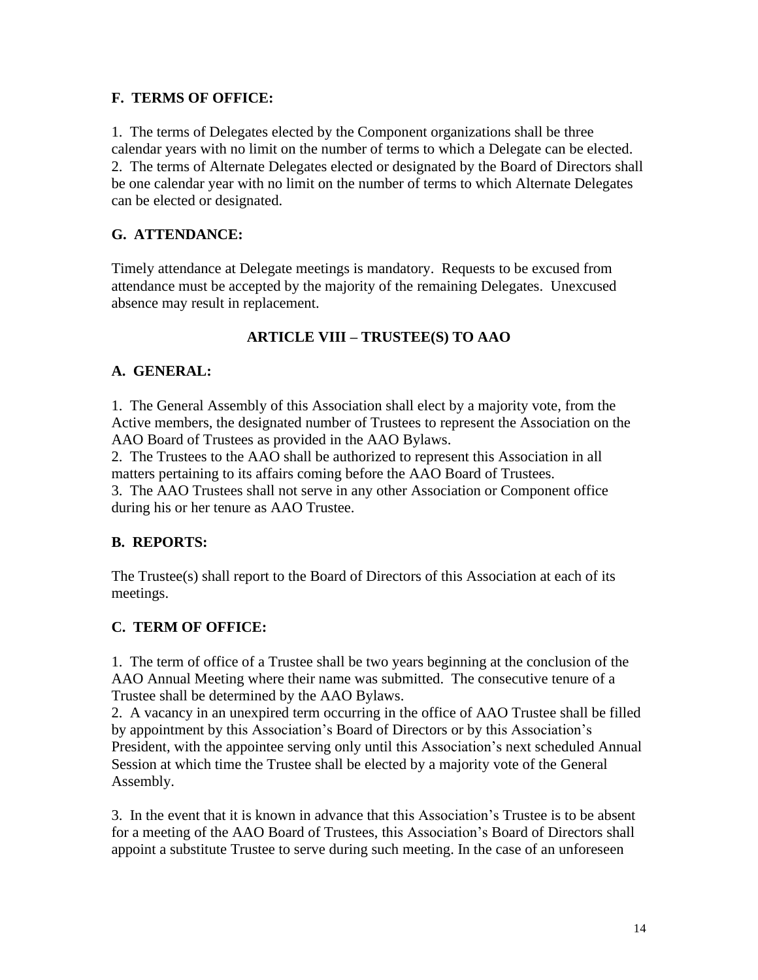### **F. TERMS OF OFFICE:**

1. The terms of Delegates elected by the Component organizations shall be three calendar years with no limit on the number of terms to which a Delegate can be elected. 2. The terms of Alternate Delegates elected or designated by the Board of Directors shall be one calendar year with no limit on the number of terms to which Alternate Delegates can be elected or designated.

# **G. ATTENDANCE:**

Timely attendance at Delegate meetings is mandatory. Requests to be excused from attendance must be accepted by the majority of the remaining Delegates. Unexcused absence may result in replacement.

# **ARTICLE VIII – TRUSTEE(S) TO AAO**

### **A. GENERAL:**

1. The General Assembly of this Association shall elect by a majority vote, from the Active members, the designated number of Trustees to represent the Association on the AAO Board of Trustees as provided in the AAO Bylaws.

2. The Trustees to the AAO shall be authorized to represent this Association in all matters pertaining to its affairs coming before the AAO Board of Trustees.

3. The AAO Trustees shall not serve in any other Association or Component office during his or her tenure as AAO Trustee.

# **B. REPORTS:**

The Trustee(s) shall report to the Board of Directors of this Association at each of its meetings.

# **C. TERM OF OFFICE:**

1. The term of office of a Trustee shall be two years beginning at the conclusion of the AAO Annual Meeting where their name was submitted. The consecutive tenure of a Trustee shall be determined by the AAO Bylaws.

2. A vacancy in an unexpired term occurring in the office of AAO Trustee shall be filled by appointment by this Association's Board of Directors or by this Association's President, with the appointee serving only until this Association's next scheduled Annual Session at which time the Trustee shall be elected by a majority vote of the General Assembly.

3. In the event that it is known in advance that this Association's Trustee is to be absent for a meeting of the AAO Board of Trustees, this Association's Board of Directors shall appoint a substitute Trustee to serve during such meeting. In the case of an unforeseen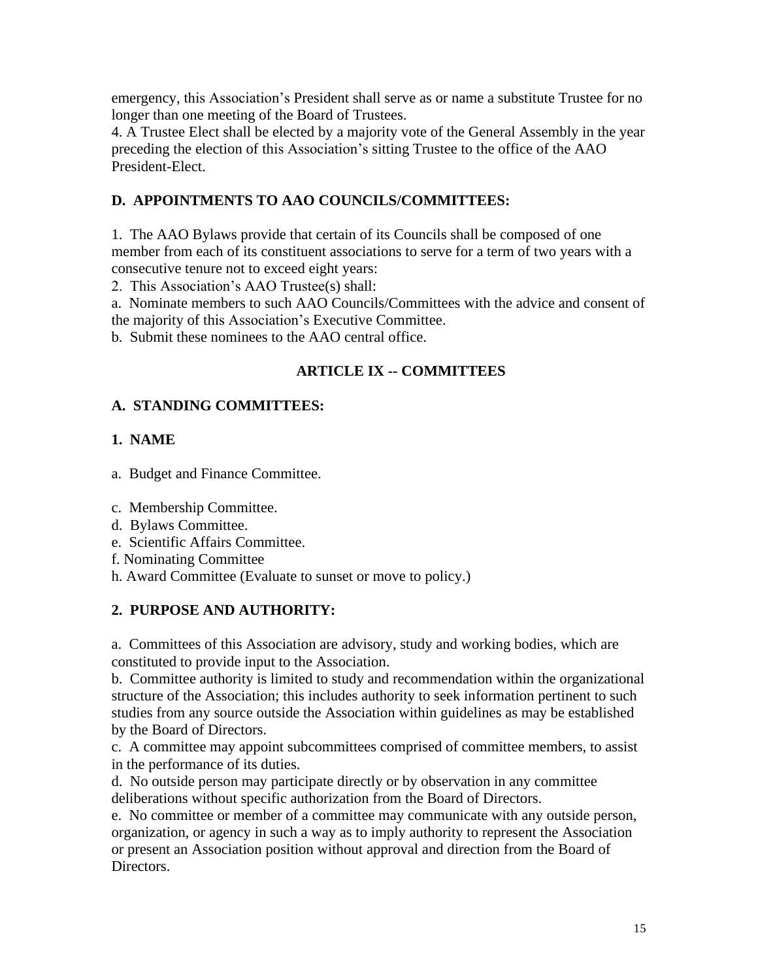emergency, this Association's President shall serve as or name a substitute Trustee for no longer than one meeting of the Board of Trustees.

4. A Trustee Elect shall be elected by a majority vote of the General Assembly in the year preceding the election of this Association's sitting Trustee to the office of the AAO President-Elect.

# **D. APPOINTMENTS TO AAO COUNCILS/COMMITTEES:**

1. The AAO Bylaws provide that certain of its Councils shall be composed of one member from each of its constituent associations to serve for a term of two years with a consecutive tenure not to exceed eight years:

2. This Association's AAO Trustee(s) shall:

a. Nominate members to such AAO Councils/Committees with the advice and consent of the majority of this Association's Executive Committee.

b. Submit these nominees to the AAO central office.

# **ARTICLE IX -- COMMITTEES**

# **A. STANDING COMMITTEES:**

# **1. NAME**

a. Budget and Finance Committee.

c. Membership Committee.

- d. Bylaws Committee.
- e. Scientific Affairs Committee.
- f. Nominating Committee
- h. Award Committee (Evaluate to sunset or move to policy.)

# **2. PURPOSE AND AUTHORITY:**

a. Committees of this Association are advisory, study and working bodies, which are constituted to provide input to the Association.

b. Committee authority is limited to study and recommendation within the organizational structure of the Association; this includes authority to seek information pertinent to such studies from any source outside the Association within guidelines as may be established by the Board of Directors.

c. A committee may appoint subcommittees comprised of committee members, to assist in the performance of its duties.

d. No outside person may participate directly or by observation in any committee deliberations without specific authorization from the Board of Directors.

e. No committee or member of a committee may communicate with any outside person, organization, or agency in such a way as to imply authority to represent the Association or present an Association position without approval and direction from the Board of Directors.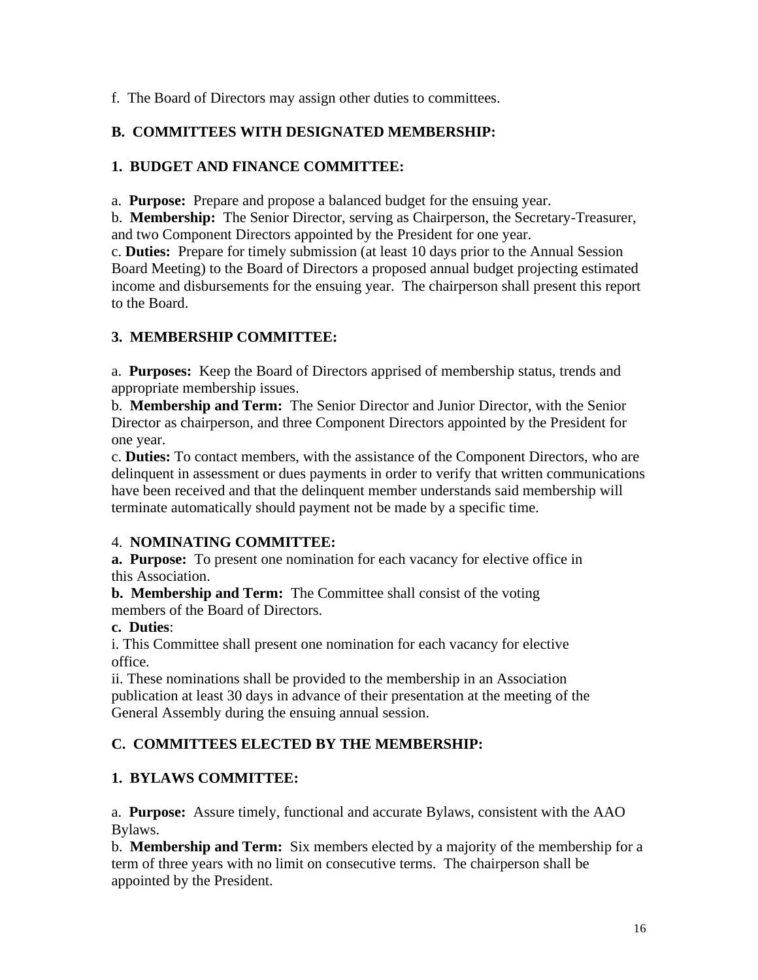f. The Board of Directors may assign other duties to committees.

### **B. COMMITTEES WITH DESIGNATED MEMBERSHIP:**

### **1. BUDGET AND FINANCE COMMITTEE:**

a. **Purpose:** Prepare and propose a balanced budget for the ensuing year.

b. **Membership:** The Senior Director, serving as Chairperson, the Secretary-Treasurer, and two Component Directors appointed by the President for one year.

c. **Duties:** Prepare for timely submission (at least 10 days prior to the Annual Session Board Meeting) to the Board of Directors a proposed annual budget projecting estimated income and disbursements for the ensuing year. The chairperson shall present this report to the Board.

### **3. MEMBERSHIP COMMITTEE:**

a. **Purposes:** Keep the Board of Directors apprised of membership status, trends and appropriate membership issues.

b. **Membership and Term:** The Senior Director and Junior Director, with the Senior Director as chairperson, and three Component Directors appointed by the President for one year.

c. **Duties:** To contact members, with the assistance of the Component Directors, who are delinquent in assessment or dues payments in order to verify that written communications have been received and that the delinquent member understands said membership will terminate automatically should payment not be made by a specific time.

### 4. **NOMINATING COMMITTEE:**

**a. Purpose:** To present one nomination for each vacancy for elective office in this Association.

**b. Membership and Term:** The Committee shall consist of the voting members of the Board of Directors.

### **c. Duties**:

i. This Committee shall present one nomination for each vacancy for elective office.

ii. These nominations shall be provided to the membership in an Association publication at least 30 days in advance of their presentation at the meeting of the General Assembly during the ensuing annual session.

# **C. COMMITTEES ELECTED BY THE MEMBERSHIP:**

# **1. BYLAWS COMMITTEE:**

a. **Purpose:** Assure timely, functional and accurate Bylaws, consistent with the AAO Bylaws.

b. **Membership and Term:** Six members elected by a majority of the membership for a term of three years with no limit on consecutive terms. The chairperson shall be appointed by the President.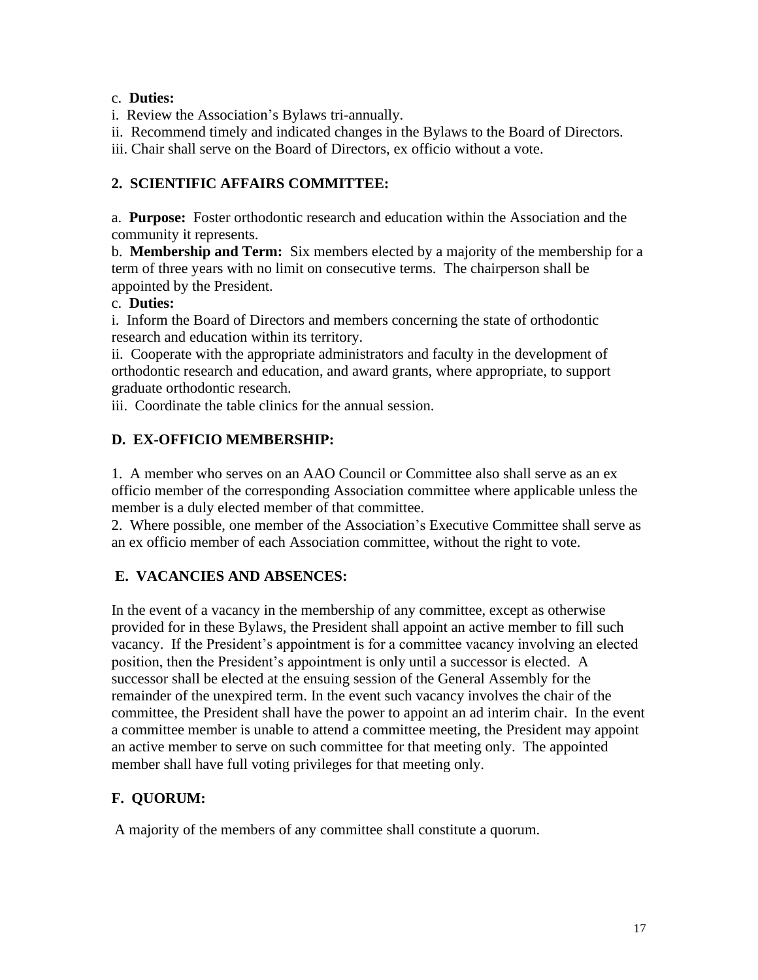### c. **Duties:**

i. Review the Association's Bylaws tri-annually.

ii. Recommend timely and indicated changes in the Bylaws to the Board of Directors.

iii. Chair shall serve on the Board of Directors, ex officio without a vote.

### **2. SCIENTIFIC AFFAIRS COMMITTEE:**

a. **Purpose:** Foster orthodontic research and education within the Association and the community it represents.

b. **Membership and Term:** Six members elected by a majority of the membership for a term of three years with no limit on consecutive terms. The chairperson shall be appointed by the President.

### c. **Duties:**

i. Inform the Board of Directors and members concerning the state of orthodontic research and education within its territory.

ii. Cooperate with the appropriate administrators and faculty in the development of orthodontic research and education, and award grants, where appropriate, to support graduate orthodontic research.

iii. Coordinate the table clinics for the annual session.

# **D. EX-OFFICIO MEMBERSHIP:**

1. A member who serves on an AAO Council or Committee also shall serve as an ex officio member of the corresponding Association committee where applicable unless the member is a duly elected member of that committee.

2. Where possible, one member of the Association's Executive Committee shall serve as an ex officio member of each Association committee, without the right to vote.

### **E. VACANCIES AND ABSENCES:**

In the event of a vacancy in the membership of any committee, except as otherwise provided for in these Bylaws, the President shall appoint an active member to fill such vacancy. If the President's appointment is for a committee vacancy involving an elected position, then the President's appointment is only until a successor is elected. A successor shall be elected at the ensuing session of the General Assembly for the remainder of the unexpired term. In the event such vacancy involves the chair of the committee, the President shall have the power to appoint an ad interim chair. In the event a committee member is unable to attend a committee meeting, the President may appoint an active member to serve on such committee for that meeting only. The appointed member shall have full voting privileges for that meeting only.

# **F. QUORUM:**

A majority of the members of any committee shall constitute a quorum.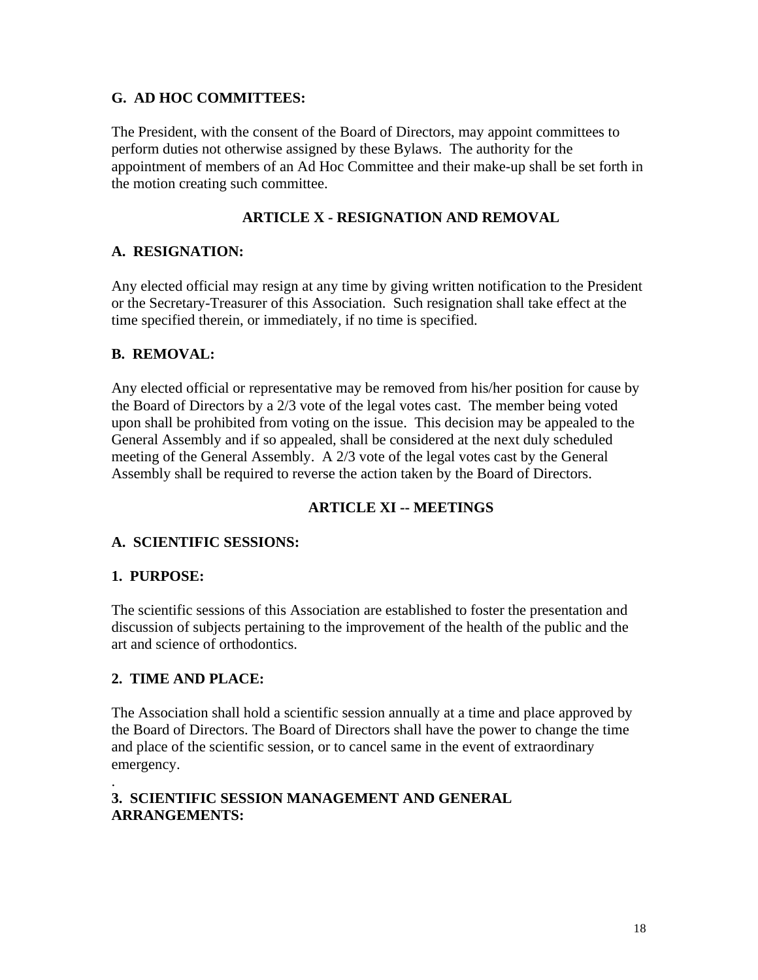#### **G. AD HOC COMMITTEES:**

The President, with the consent of the Board of Directors, may appoint committees to perform duties not otherwise assigned by these Bylaws. The authority for the appointment of members of an Ad Hoc Committee and their make-up shall be set forth in the motion creating such committee.

### **ARTICLE X - RESIGNATION AND REMOVAL**

### **A. RESIGNATION:**

Any elected official may resign at any time by giving written notification to the President or the Secretary-Treasurer of this Association. Such resignation shall take effect at the time specified therein, or immediately, if no time is specified.

### **B. REMOVAL:**

Any elected official or representative may be removed from his/her position for cause by the Board of Directors by a 2/3 vote of the legal votes cast. The member being voted upon shall be prohibited from voting on the issue. This decision may be appealed to the General Assembly and if so appealed, shall be considered at the next duly scheduled meeting of the General Assembly. A 2/3 vote of the legal votes cast by the General Assembly shall be required to reverse the action taken by the Board of Directors.

### **ARTICLE XI -- MEETINGS**

#### **A. SCIENTIFIC SESSIONS:**

#### **1. PURPOSE:**

The scientific sessions of this Association are established to foster the presentation and discussion of subjects pertaining to the improvement of the health of the public and the art and science of orthodontics.

#### **2. TIME AND PLACE:**

The Association shall hold a scientific session annually at a time and place approved by the Board of Directors. The Board of Directors shall have the power to change the time and place of the scientific session, or to cancel same in the event of extraordinary emergency.

#### . **3. SCIENTIFIC SESSION MANAGEMENT AND GENERAL ARRANGEMENTS:**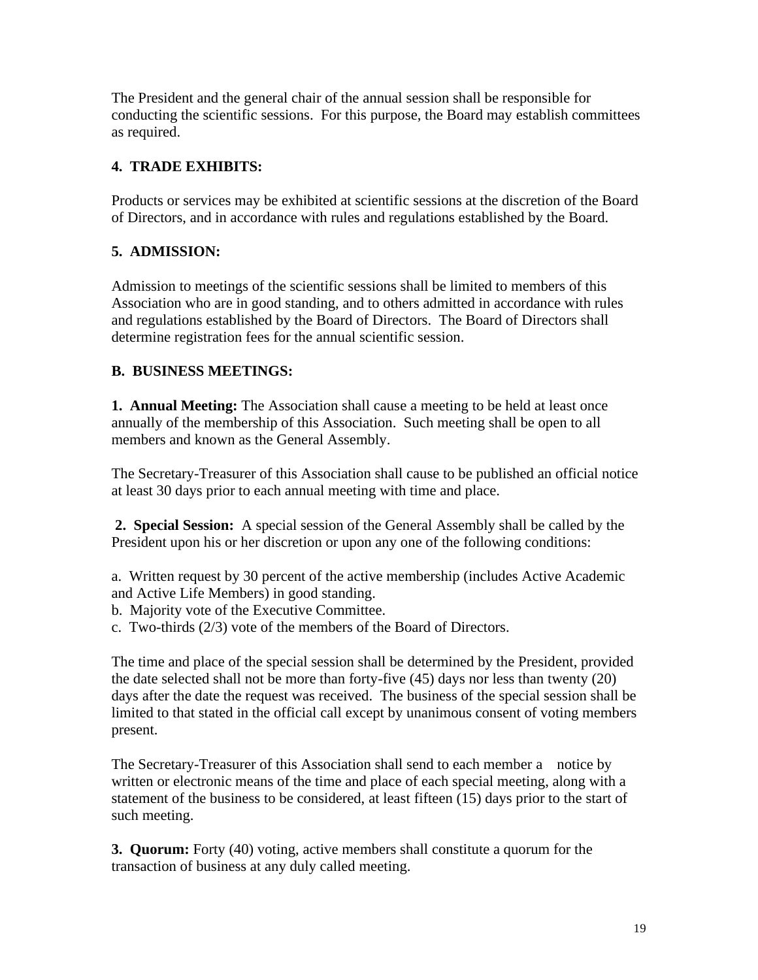The President and the general chair of the annual session shall be responsible for conducting the scientific sessions. For this purpose, the Board may establish committees as required.

# **4. TRADE EXHIBITS:**

Products or services may be exhibited at scientific sessions at the discretion of the Board of Directors, and in accordance with rules and regulations established by the Board.

# **5. ADMISSION:**

Admission to meetings of the scientific sessions shall be limited to members of this Association who are in good standing, and to others admitted in accordance with rules and regulations established by the Board of Directors. The Board of Directors shall determine registration fees for the annual scientific session.

### **B. BUSINESS MEETINGS:**

**1. Annual Meeting:** The Association shall cause a meeting to be held at least once annually of the membership of this Association. Such meeting shall be open to all members and known as the General Assembly.

The Secretary-Treasurer of this Association shall cause to be published an official notice at least 30 days prior to each annual meeting with time and place.

**2. Special Session:** A special session of the General Assembly shall be called by the President upon his or her discretion or upon any one of the following conditions:

a. Written request by 30 percent of the active membership (includes Active Academic and Active Life Members) in good standing.

b. Majority vote of the Executive Committee.

c. Two-thirds (2/3) vote of the members of the Board of Directors.

The time and place of the special session shall be determined by the President, provided the date selected shall not be more than forty-five (45) days nor less than twenty (20) days after the date the request was received. The business of the special session shall be limited to that stated in the official call except by unanimous consent of voting members present.

The Secretary-Treasurer of this Association shall send to each member a notice by written or electronic means of the time and place of each special meeting, along with a statement of the business to be considered, at least fifteen (15) days prior to the start of such meeting.

**3. Quorum:** Forty (40) voting, active members shall constitute a quorum for the transaction of business at any duly called meeting.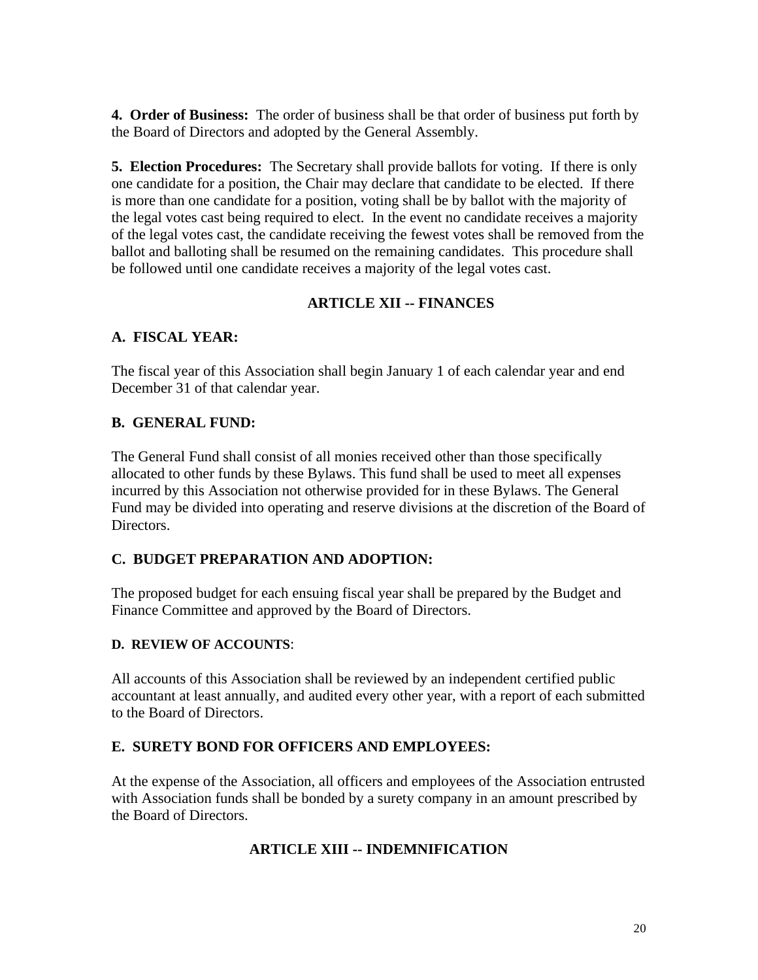**4. Order of Business:** The order of business shall be that order of business put forth by the Board of Directors and adopted by the General Assembly.

**5. Election Procedures:** The Secretary shall provide ballots for voting. If there is only one candidate for a position, the Chair may declare that candidate to be elected. If there is more than one candidate for a position, voting shall be by ballot with the majority of the legal votes cast being required to elect. In the event no candidate receives a majority of the legal votes cast, the candidate receiving the fewest votes shall be removed from the ballot and balloting shall be resumed on the remaining candidates. This procedure shall be followed until one candidate receives a majority of the legal votes cast.

### **ARTICLE XII -- FINANCES**

#### **A. FISCAL YEAR:**

The fiscal year of this Association shall begin January 1 of each calendar year and end December 31 of that calendar year.

#### **B. GENERAL FUND:**

The General Fund shall consist of all monies received other than those specifically allocated to other funds by these Bylaws. This fund shall be used to meet all expenses incurred by this Association not otherwise provided for in these Bylaws. The General Fund may be divided into operating and reserve divisions at the discretion of the Board of Directors.

### **C. BUDGET PREPARATION AND ADOPTION:**

The proposed budget for each ensuing fiscal year shall be prepared by the Budget and Finance Committee and approved by the Board of Directors.

#### **D. REVIEW OF ACCOUNTS**:

All accounts of this Association shall be reviewed by an independent certified public accountant at least annually, and audited every other year, with a report of each submitted to the Board of Directors.

### **E. SURETY BOND FOR OFFICERS AND EMPLOYEES:**

At the expense of the Association, all officers and employees of the Association entrusted with Association funds shall be bonded by a surety company in an amount prescribed by the Board of Directors.

### **ARTICLE XIII -- INDEMNIFICATION**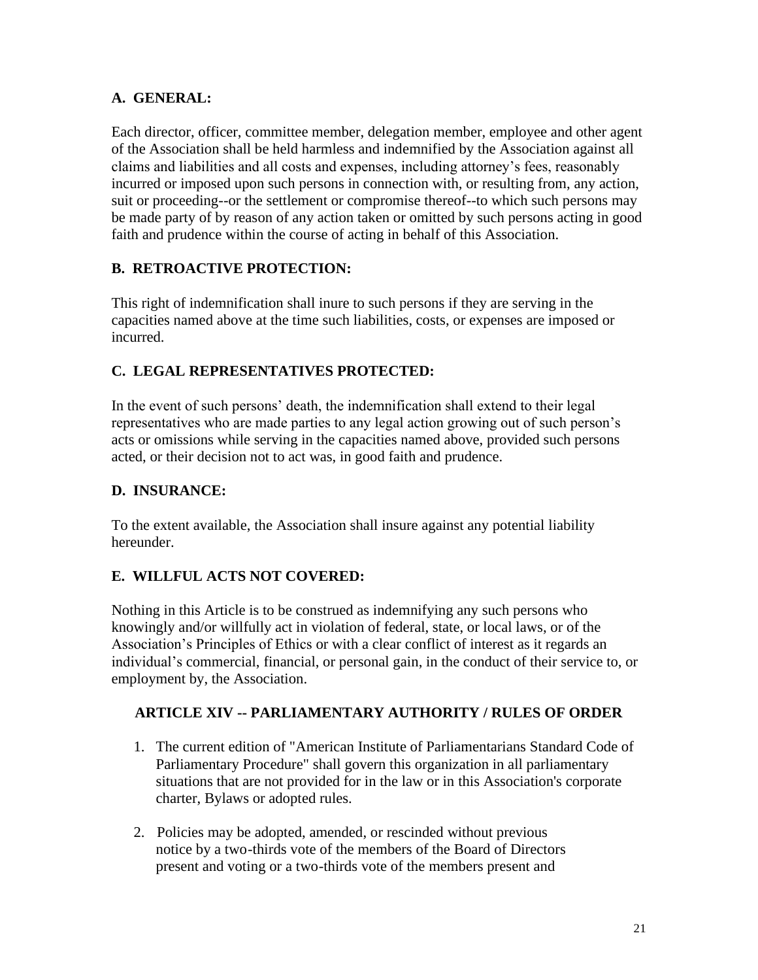### **A. GENERAL:**

Each director, officer, committee member, delegation member, employee and other agent of the Association shall be held harmless and indemnified by the Association against all claims and liabilities and all costs and expenses, including attorney's fees, reasonably incurred or imposed upon such persons in connection with, or resulting from, any action, suit or proceeding--or the settlement or compromise thereof--to which such persons may be made party of by reason of any action taken or omitted by such persons acting in good faith and prudence within the course of acting in behalf of this Association.

### **B. RETROACTIVE PROTECTION:**

This right of indemnification shall inure to such persons if they are serving in the capacities named above at the time such liabilities, costs, or expenses are imposed or incurred.

# **C. LEGAL REPRESENTATIVES PROTECTED:**

In the event of such persons' death, the indemnification shall extend to their legal representatives who are made parties to any legal action growing out of such person's acts or omissions while serving in the capacities named above, provided such persons acted, or their decision not to act was, in good faith and prudence.

### **D. INSURANCE:**

To the extent available, the Association shall insure against any potential liability hereunder.

### **E. WILLFUL ACTS NOT COVERED:**

Nothing in this Article is to be construed as indemnifying any such persons who knowingly and/or willfully act in violation of federal, state, or local laws, or of the Association's Principles of Ethics or with a clear conflict of interest as it regards an individual's commercial, financial, or personal gain, in the conduct of their service to, or employment by, the Association.

### **ARTICLE XIV -- PARLIAMENTARY AUTHORITY / RULES OF ORDER**

- 1. The current edition of "American Institute of Parliamentarians Standard Code of Parliamentary Procedure" shall govern this organization in all parliamentary situations that are not provided for in the law or in this Association's corporate charter, Bylaws or adopted rules.
- 2. Policies may be adopted, amended, or rescinded without previous notice by a two-thirds vote of the members of the Board of Directors present and voting or a two-thirds vote of the members present and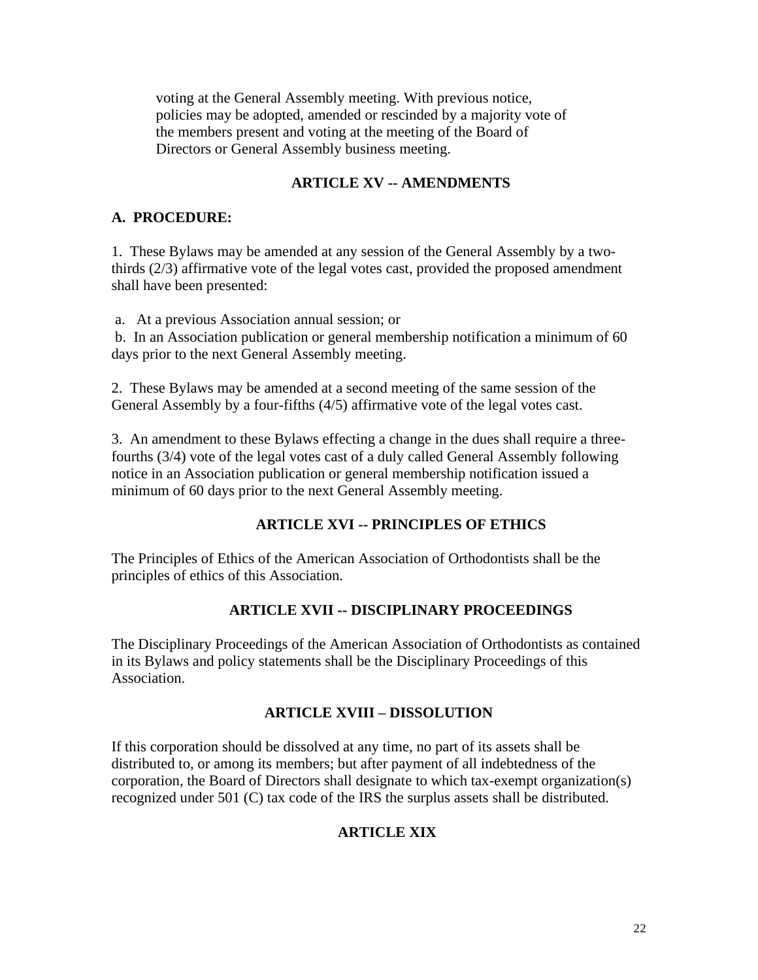voting at the General Assembly meeting. With previous notice, policies may be adopted, amended or rescinded by a majority vote of the members present and voting at the meeting of the Board of Directors or General Assembly business meeting.

### **ARTICLE XV -- AMENDMENTS**

#### **A. PROCEDURE:**

1. These Bylaws may be amended at any session of the General Assembly by a twothirds (2/3) affirmative vote of the legal votes cast, provided the proposed amendment shall have been presented:

a. At a previous Association annual session; or

b. In an Association publication or general membership notification a minimum of 60 days prior to the next General Assembly meeting.

2. These Bylaws may be amended at a second meeting of the same session of the General Assembly by a four-fifths (4/5) affirmative vote of the legal votes cast.

3. An amendment to these Bylaws effecting a change in the dues shall require a threefourths (3/4) vote of the legal votes cast of a duly called General Assembly following notice in an Association publication or general membership notification issued a minimum of 60 days prior to the next General Assembly meeting.

#### **ARTICLE XVI -- PRINCIPLES OF ETHICS**

The Principles of Ethics of the American Association of Orthodontists shall be the principles of ethics of this Association.

#### **ARTICLE XVII -- DISCIPLINARY PROCEEDINGS**

The Disciplinary Proceedings of the American Association of Orthodontists as contained in its Bylaws and policy statements shall be the Disciplinary Proceedings of this Association.

#### **ARTICLE XVIII – DISSOLUTION**

If this corporation should be dissolved at any time, no part of its assets shall be distributed to, or among its members; but after payment of all indebtedness of the corporation, the Board of Directors shall designate to which tax-exempt organization(s) recognized under 501 (C) tax code of the IRS the surplus assets shall be distributed.

#### **ARTICLE XIX**